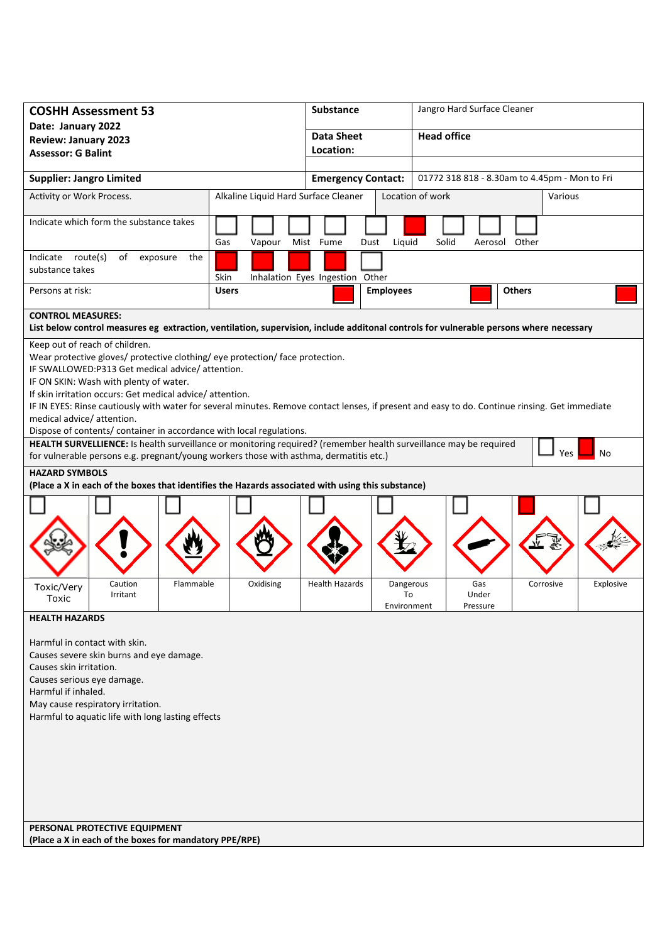| <b>COSHH Assessment 53</b>                                                                                                                                                                                                                                                                                                                                                                                                                                                                                                                                                                                                                            |              | <b>Substance</b>          |                             | Jangro Hard Surface Cleaner |                                               |           |
|-------------------------------------------------------------------------------------------------------------------------------------------------------------------------------------------------------------------------------------------------------------------------------------------------------------------------------------------------------------------------------------------------------------------------------------------------------------------------------------------------------------------------------------------------------------------------------------------------------------------------------------------------------|--------------|---------------------------|-----------------------------|-----------------------------|-----------------------------------------------|-----------|
| Date: January 2022<br><b>Review: January 2023</b>                                                                                                                                                                                                                                                                                                                                                                                                                                                                                                                                                                                                     |              | <b>Data Sheet</b>         |                             | <b>Head office</b>          |                                               |           |
| <b>Assessor: G Balint</b>                                                                                                                                                                                                                                                                                                                                                                                                                                                                                                                                                                                                                             |              | Location:                 |                             |                             |                                               |           |
| <b>Supplier: Jangro Limited</b>                                                                                                                                                                                                                                                                                                                                                                                                                                                                                                                                                                                                                       |              | <b>Emergency Contact:</b> |                             |                             | 01772 318 818 - 8.30am to 4.45pm - Mon to Fri |           |
| Alkaline Liquid Hard Surface Cleaner<br>Activity or Work Process.                                                                                                                                                                                                                                                                                                                                                                                                                                                                                                                                                                                     |              |                           | Location of work<br>Various |                             |                                               |           |
| Indicate which form the substance takes<br>Gas<br>Vapour                                                                                                                                                                                                                                                                                                                                                                                                                                                                                                                                                                                              |              | Mist Fume<br>Dust         | Liquid                      | Solid                       | Aerosol Other                                 |           |
| Indicate route(s)<br>of<br>the<br>exposure<br>substance takes<br>Inhalation Eyes Ingestion Other<br>Skin                                                                                                                                                                                                                                                                                                                                                                                                                                                                                                                                              |              |                           |                             |                             |                                               |           |
| Persons at risk:                                                                                                                                                                                                                                                                                                                                                                                                                                                                                                                                                                                                                                      | <b>Users</b> | <b>Employees</b>          |                             |                             | <b>Others</b>                                 |           |
| <b>CONTROL MEASURES:</b><br>List below control measures eg extraction, ventilation, supervision, include additonal controls for vulnerable persons where necessary                                                                                                                                                                                                                                                                                                                                                                                                                                                                                    |              |                           |                             |                             |                                               |           |
| Keep out of reach of children.<br>Wear protective gloves/ protective clothing/ eye protection/ face protection.<br>IF SWALLOWED:P313 Get medical advice/attention.<br>IF ON SKIN: Wash with plenty of water.<br>If skin irritation occurs: Get medical advice/attention.<br>IF IN EYES: Rinse cautiously with water for several minutes. Remove contact lenses, if present and easy to do. Continue rinsing. Get immediate<br>medical advice/ attention.<br>Dispose of contents/ container in accordance with local regulations.<br>HEALTH SURVELLIENCE: Is health surveillance or monitoring required? (remember health surveillance may be required |              |                           |                             |                             |                                               |           |
| for vulnerable persons e.g. pregnant/young workers those with asthma, dermatitis etc.)                                                                                                                                                                                                                                                                                                                                                                                                                                                                                                                                                                |              |                           |                             |                             | Yes                                           | No        |
| <b>HAZARD SYMBOLS</b><br>(Place a X in each of the boxes that identifies the Hazards associated with using this substance)                                                                                                                                                                                                                                                                                                                                                                                                                                                                                                                            |              |                           |                             |                             |                                               |           |
| Flammable<br>Caution<br>Toxic/Very                                                                                                                                                                                                                                                                                                                                                                                                                                                                                                                                                                                                                    | Oxidising    | <b>Health Hazards</b>     | Dangerous                   | Gas                         | Corrosive                                     | Explosive |
| Irritant<br>Toxic                                                                                                                                                                                                                                                                                                                                                                                                                                                                                                                                                                                                                                     |              |                           | To<br>Environment           | Under<br>Pressure           |                                               |           |
| <b>HEALTH HAZARDS</b><br>Harmful in contact with skin.<br>Causes severe skin burns and eye damage.<br>Causes skin irritation.<br>Causes serious eye damage.<br>Harmful if inhaled.<br>May cause respiratory irritation.<br>Harmful to aquatic life with long lasting effects<br>PERSONAL PROTECTIVE EQUIPMENT                                                                                                                                                                                                                                                                                                                                         |              |                           |                             |                             |                                               |           |
| (Place a X in each of the boxes for mandatory PPE/RPE)                                                                                                                                                                                                                                                                                                                                                                                                                                                                                                                                                                                                |              |                           |                             |                             |                                               |           |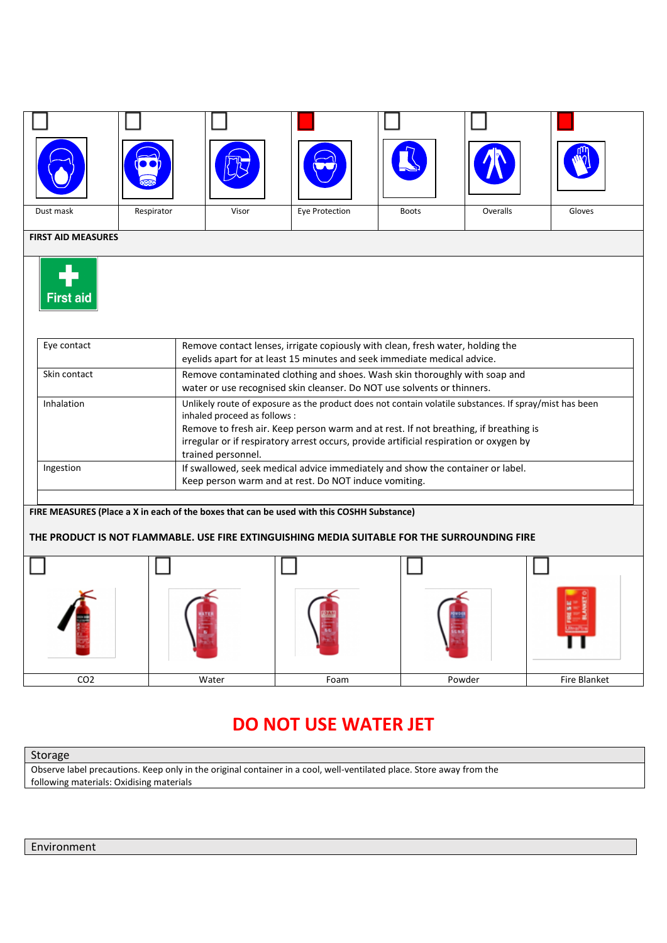|           | <b>CEED</b> |       |                | يدح   |          |        |
|-----------|-------------|-------|----------------|-------|----------|--------|
| Dust mask | Respirator  | Visor | Eye Protection | Boots | Overalls | Gloves |

## **FIRST AID MEASURES**



| Eye contact  | Remove contact lenses, irrigate copiously with clean, fresh water, holding the<br>eyelids apart for at least 15 minutes and seek immediate medical advice.                                                                                                                                                                                    |
|--------------|-----------------------------------------------------------------------------------------------------------------------------------------------------------------------------------------------------------------------------------------------------------------------------------------------------------------------------------------------|
| Skin contact | Remove contaminated clothing and shoes. Wash skin thoroughly with soap and<br>water or use recognised skin cleanser. Do NOT use solvents or thinners.                                                                                                                                                                                         |
| Inhalation   | Unlikely route of exposure as the product does not contain volatile substances. If spray/mist has been<br>inhaled proceed as follows:<br>Remove to fresh air. Keep person warm and at rest. If not breathing, if breathing is<br>irregular or if respiratory arrest occurs, provide artificial respiration or oxygen by<br>trained personnel. |
| Ingestion    | If swallowed, seek medical advice immediately and show the container or label.<br>Keep person warm and at rest. Do NOT induce vomiting.                                                                                                                                                                                                       |

## **FIRE MEASURES (Place a X in each of the boxes that can be used with this COSHH Substance)**

#### **THE PRODUCT IS NOT FLAMMABLE. USE FIRE EXTINGUISHING MEDIA SUITABLE FOR THE SURROUNDING FIRE**

| CO <sub>2</sub> | Water | Foam | Powder | Fire Blanket |
|-----------------|-------|------|--------|--------------|

# **DO NOT USE WATER JET**

#### Storage

Observe label precautions. Keep only in the original container in a cool, well-ventilated place. Store away from the following materials: Oxidising materials